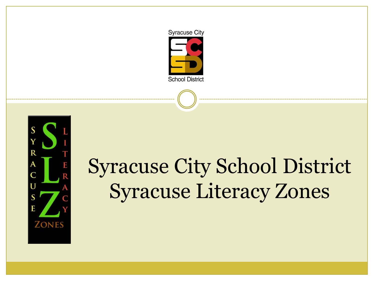



# Syracuse City School District Syracuse Literacy Zones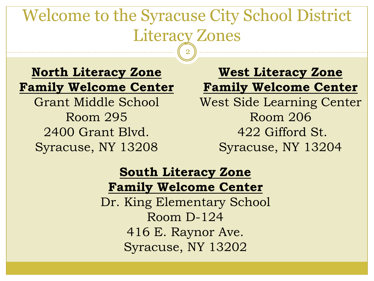### Welcome to the Syracuse City School District Literacy Zones 2

**North Literacy Zone Family Welcome Center** Grant Middle School Room 295 2400 Grant Blvd. Syracuse, NY 13208

**West Literacy Zone Family Welcome Center** West Side Learning Center Room 206 422 Gifford St. Syracuse, NY 13204

#### **South Literacy Zone Family Welcome Center**

Dr. King Elementary School Room D-124 416 E. Raynor Ave. Syracuse, NY 13202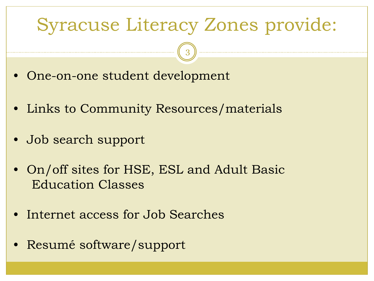## Syracuse Literacy Zones provide:

3

- One-on-one student development
- Links to Community Resources/materials
- Job search support
- On/off sites for HSE, ESL and Adult Basic Education Classes
- Internet access for Job Searches
- Resumé software/support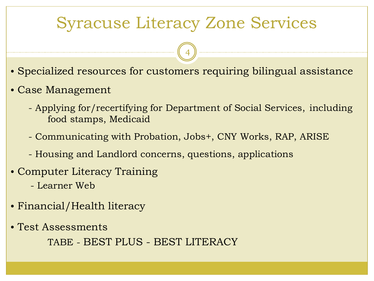## Syracuse Literacy Zone Services

4

- Specialized resources for customers requiring bilingual assistance
- Case Management
	- Applying for/recertifying for Department of Social Services, including food stamps, Medicaid
	- Communicating with Probation, Jobs+, CNY Works, RAP, ARISE
	- Housing and Landlord concerns, questions, applications
- Computer Literacy Training
	- Learner Web
- Financial/Health literacy
- Test Assessments

TABE - BEST PLUS - BEST LITERACY